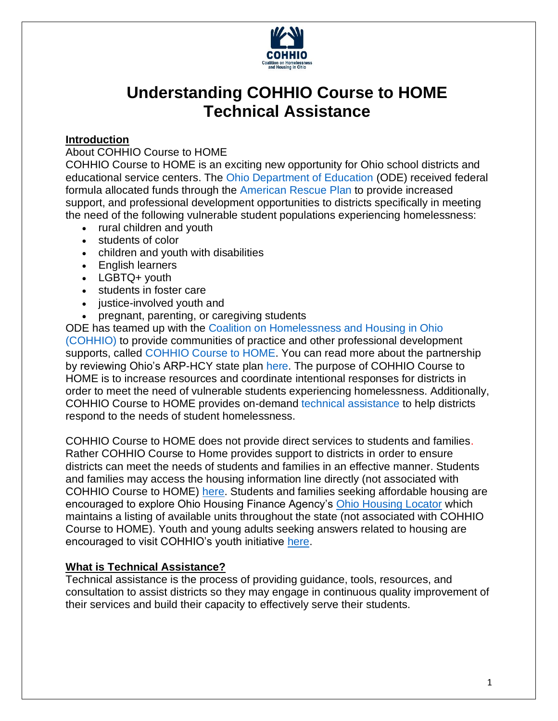

# **Understanding COHHIO Course to HOME Technical Assistance**

#### **Introduction**

#### About COHHIO Course to HOME

COHHIO Course to HOME is an exciting new opportunity for Ohio school districts and educational service centers. The [Ohio Department of Education](https://education.ohio.gov/Topics/Student-Supports/Homeless-Youth) (ODE) received federal formula allocated funds through the [American Rescue](https://education.ohio.gov/Topics/Student-Supports/Homeless-Youth/American-Rescue-Plan-Homeless-II-Funds) Plan to provide increased support, and professional development opportunities to districts specifically in meeting the need of the following vulnerable student populations experiencing homelessness:

- rural children and youth
- students of color
- children and youth with disabilities
- English learners
- LGBTQ+ youth
- students in foster care
- justice-involved youth and
- pregnant, parenting, or caregiving students

ODE has teamed up with the [Coalition on Homelessness and Housing in Ohio](https://cohhio.org/)  [\(COHHIO\)](https://cohhio.org/) to provide communities of practice and other professional development supports, called [COHHIO Course to HOME.](https://cohhio.org/programs/youth-initiative/ode-youth-homelessness/) You can read more about the partnership by reviewing Ohio's ARP-HCY state plan [here.](https://oese.ed.gov/files/2021/09/Ohio-ARP-HCY-State-Plan.pdf) The purpose of COHHIO Course to HOME is to increase resources and coordinate intentional responses for districts in order to meet the need of vulnerable students experiencing homelessness. Additionally, COHHIO Course to HOME provides on-demand [technical assistance](https://www.cdc.gov/healthyschools/professional_development/videos/pd101/05-technical_assistance.pdf) to help districts respond to the needs of student homelessness.

COHHIO Course to HOME does not provide direct services to students and families. Rather COHHIO Course to Home provides support to districts in order to ensure districts can meet the needs of students and families in an effective manner. Students and families may access the housing information line directly (not associated with COHHIO Course to HOME) [here.](https://cohhio.org/housing-information/) Students and families seeking affordable housing are encouraged to explore Ohio Housing Finance Agency's [Ohio Housing Locator](https://www.ohiohousinglocator.org/) which maintains a listing of available units throughout the state (not associated with COHHIO Course to HOME). Youth and young adults seeking answers related to housing are encouraged to visit COHHIO's youth initiative [here.](https://www.takingchargeohio.org/)

### **What is Technical Assistance?**

Technical assistance is the process of providing guidance, tools, resources, and consultation to assist districts so they may engage in continuous quality improvement of their services and build their capacity to effectively serve their students.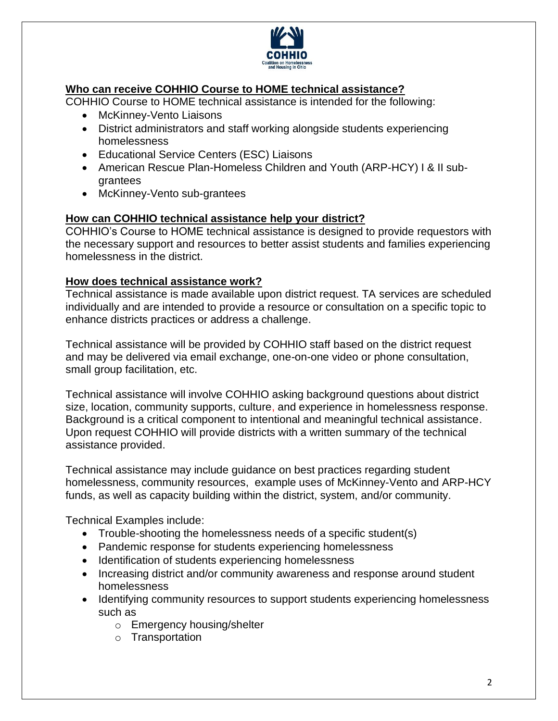

## **Who can receive COHHIO Course to HOME technical assistance?**

COHHIO Course to HOME technical assistance is intended for the following:

- McKinney-Vento Liaisons
- District administrators and staff working alongside students experiencing homelessness
- Educational Service Centers (ESC) Liaisons
- American Rescue Plan-Homeless Children and Youth (ARP-HCY) I & II subgrantees
- McKinney-Vento sub-grantees

#### **How can COHHIO technical assistance help your district?**

COHHIO's Course to HOME technical assistance is designed to provide requestors with the necessary support and resources to better assist students and families experiencing homelessness in the district.

#### **How does technical assistance work?**

Technical assistance is made available upon district request. TA services are scheduled individually and are intended to provide a resource or consultation on a specific topic to enhance districts practices or address a challenge.

Technical assistance will be provided by COHHIO staff based on the district request and may be delivered via email exchange, one-on-one video or phone consultation, small group facilitation, etc.

Technical assistance will involve COHHIO asking background questions about district size, location, community supports, culture, and experience in homelessness response. Background is a critical component to intentional and meaningful technical assistance. Upon request COHHIO will provide districts with a written summary of the technical assistance provided.

Technical assistance may include guidance on best practices regarding student homelessness, community resources, example uses of McKinney-Vento and ARP-HCY funds, as well as capacity building within the district, system, and/or community.

Technical Examples include:

- Trouble-shooting the homelessness needs of a specific student(s)
- Pandemic response for students experiencing homelessness
- Identification of students experiencing homelessness
- Increasing district and/or community awareness and response around student homelessness
- Identifying community resources to support students experiencing homelessness such as
	- o Emergency housing/shelter
	- o Transportation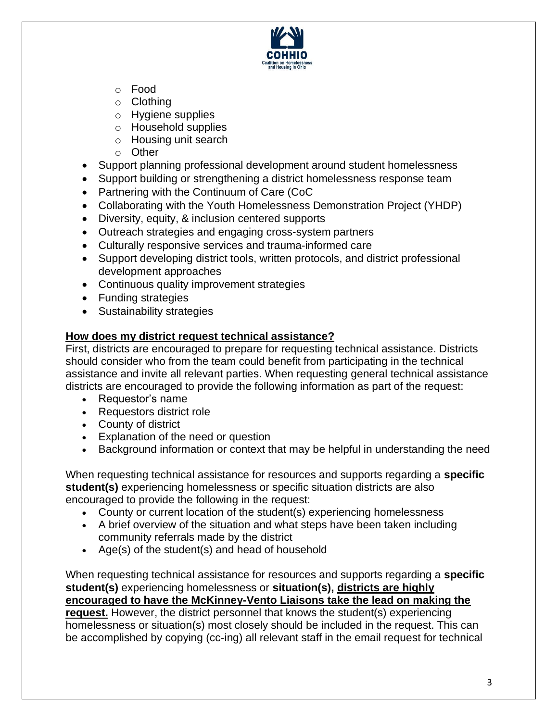

- o Food
- o Clothing
- o Hygiene supplies
- o Household supplies
- o Housing unit search
- o Other
- Support planning professional development around student homelessness
- Support building or strengthening a district homelessness response team
- Partnering with the Continuum of Care (CoC
- Collaborating with the Youth Homelessness Demonstration Project (YHDP)
- Diversity, equity, & inclusion centered supports
- Outreach strategies and engaging cross-system partners
- Culturally responsive services and trauma-informed care
- Support developing district tools, written protocols, and district professional development approaches
- Continuous quality improvement strategies
- Funding strategies
- Sustainability strategies

## **How does my district request technical assistance?**

First, districts are encouraged to prepare for requesting technical assistance. Districts should consider who from the team could benefit from participating in the technical assistance and invite all relevant parties. When requesting general technical assistance districts are encouraged to provide the following information as part of the request:

- Requestor's name
- Requestors district role
- County of district
- Explanation of the need or question
- Background information or context that may be helpful in understanding the need

When requesting technical assistance for resources and supports regarding a **specific student(s)** experiencing homelessness or specific situation districts are also encouraged to provide the following in the request:

- County or current location of the student(s) experiencing homelessness
- A brief overview of the situation and what steps have been taken including community referrals made by the district
- Age(s) of the student(s) and head of household

When requesting technical assistance for resources and supports regarding a **specific student(s)** experiencing homelessness or **situation(s), districts are highly encouraged to have the McKinney-Vento Liaisons take the lead on making the request.** However, the district personnel that knows the student(s) experiencing homelessness or situation(s) most closely should be included in the request. This can be accomplished by copying (cc-ing) all relevant staff in the email request for technical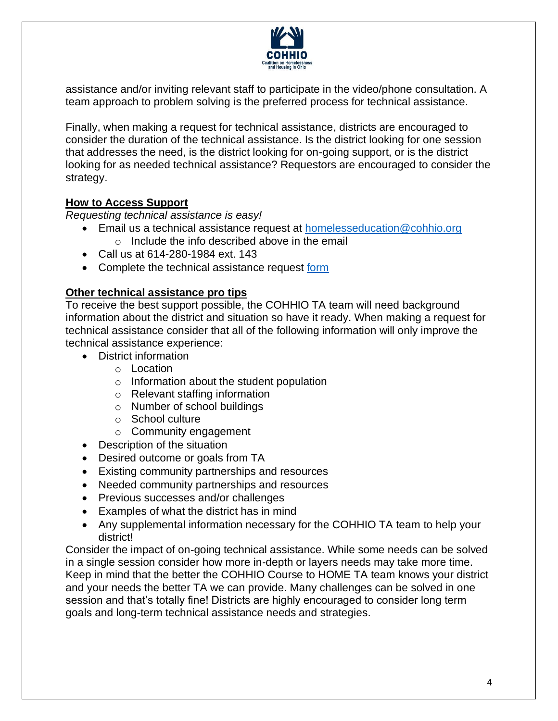

assistance and/or inviting relevant staff to participate in the video/phone consultation. A team approach to problem solving is the preferred process for technical assistance.

Finally, when making a request for technical assistance, districts are encouraged to consider the duration of the technical assistance. Is the district looking for one session that addresses the need, is the district looking for on-going support, or is the district looking for as needed technical assistance? Requestors are encouraged to consider the strategy.

#### **How to Access Support**

*Requesting technical assistance is easy!*

- Email us a technical assistance request at [homelesseducation@cohhio.org](mailto:homelesseducation@cohhio.org) o Include the info described above in the email
- Call us at 614-280-1984 ext. 143
- Complete the technical assistance request [form](https://ohiobalanceofstatecoc.slack.com/archives/DV1TAPEP5/p1645801390739589)

#### **Other technical assistance pro tips**

To receive the best support possible, the COHHIO TA team will need background information about the district and situation so have it ready. When making a request for technical assistance consider that all of the following information will only improve the technical assistance experience:

- District information
	- o Location
	- o Information about the student population
	- o Relevant staffing information
	- o Number of school buildings
	- o School culture
	- o Community engagement
- Description of the situation
- Desired outcome or goals from TA
- Existing community partnerships and resources
- Needed community partnerships and resources
- Previous successes and/or challenges
- Examples of what the district has in mind
- Any supplemental information necessary for the COHHIO TA team to help your district!

Consider the impact of on-going technical assistance. While some needs can be solved in a single session consider how more in-depth or layers needs may take more time. Keep in mind that the better the COHHIO Course to HOME TA team knows your district and your needs the better TA we can provide. Many challenges can be solved in one session and that's totally fine! Districts are highly encouraged to consider long term goals and long-term technical assistance needs and strategies.